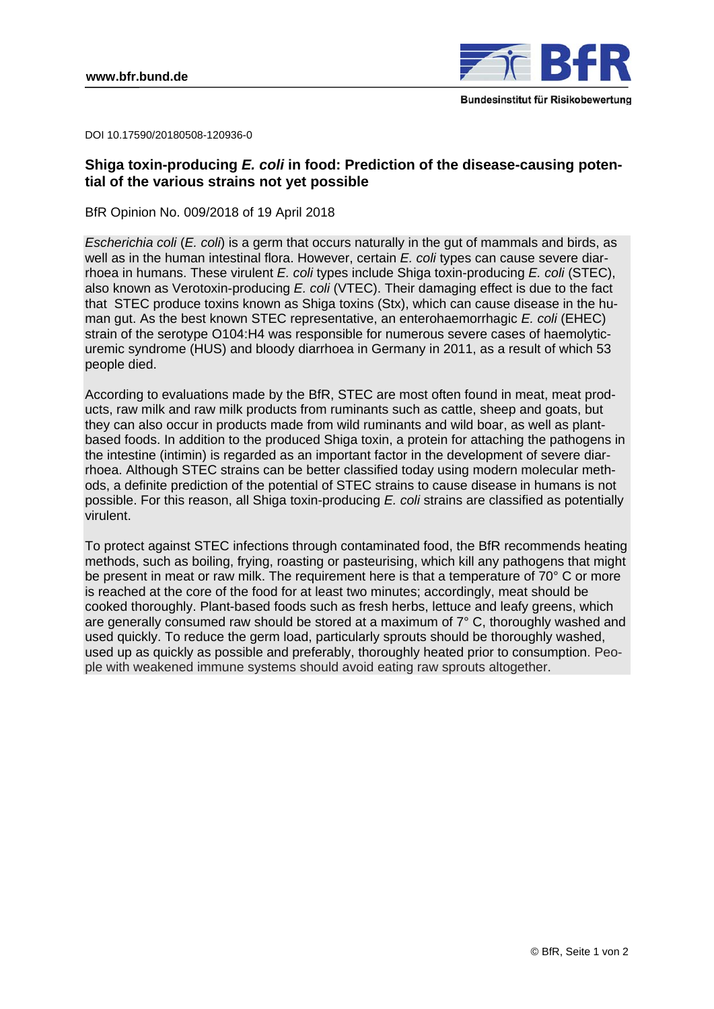

DOI 10.17590/20180508-120936-0

# **Shiga toxin-producing** *E. coli* **in food: Prediction of the disease-causing potential of the various strains not yet possible**

BfR Opinion No. 009/2018 of 19 April 2018

*Escherichia coli* (*E. coli*) is a germ that occurs naturally in the gut of mammals and birds, as well as in the human intestinal flora. However, certain *E. coli* types can cause severe diarrhoea in humans. These virulent *E. coli* types include Shiga toxin-producing *E. coli* (STEC), also known as Verotoxin-producing *E. coli* (VTEC). Their damaging effect is due to the fact that STEC produce toxins known as Shiga toxins (Stx), which can cause disease in the human gut. As the best known STEC representative, an enterohaemorrhagic *E. coli* (EHEC) strain of the serotype O104:H4 was responsible for numerous severe cases of haemolyticuremic syndrome (HUS) and bloody diarrhoea in Germany in 2011, as a result of which 53 people died.

According to evaluations made by the BfR, STEC are most often found in meat, meat products, raw milk and raw milk products from ruminants such as cattle, sheep and goats, but they can also occur in products made from wild ruminants and wild boar, as well as plantbased foods. In addition to the produced Shiga toxin, a protein for attaching the pathogens in the intestine (intimin) is regarded as an important factor in the development of severe diarrhoea. Although STEC strains can be better classified today using modern molecular methods, a definite prediction of the potential of STEC strains to cause disease in humans is not possible. For this reason, all Shiga toxin-producing *E. coli* strains are classified as potentially virulent.

To protect against STEC infections through contaminated food, the BfR recommends heating methods, such as boiling, frying, roasting or pasteurising, which kill any pathogens that might be present in meat or raw milk. The requirement here is that a temperature of 70° C or more is reached at the core of the food for at least two minutes; accordingly, meat should be cooked thoroughly. Plant-based foods such as fresh herbs, lettuce and leafy greens, which are generally consumed raw should be stored at a maximum of 7° C, thoroughly washed and used quickly. To reduce the germ load, particularly sprouts should be thoroughly washed, used up as quickly as possible and preferably, thoroughly heated prior to consumption. People with weakened immune systems should avoid eating raw sprouts altogether.